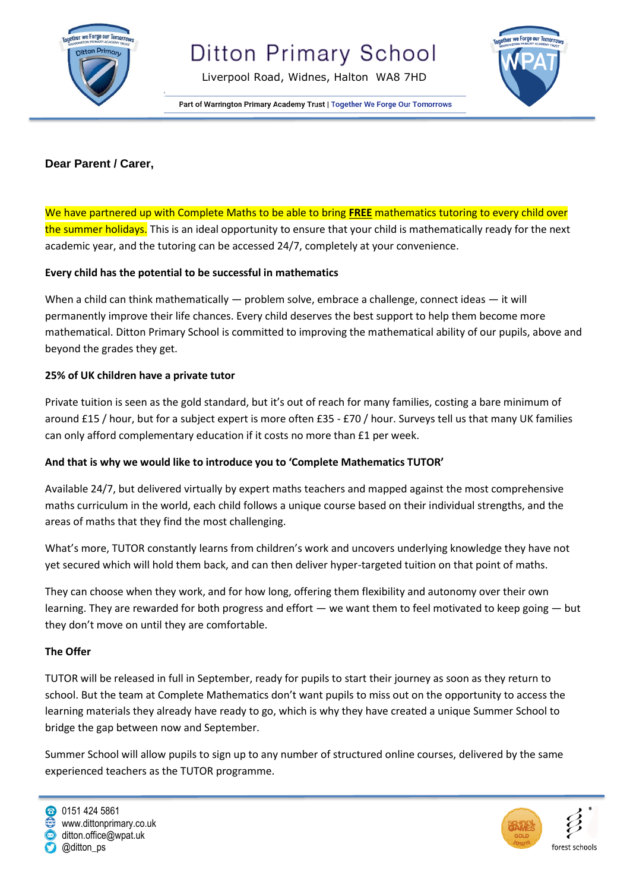

Liverpool Road, Widnes, Halton WA8 7HD



Part of Warrington Primary Academy Trust | Together We Forge Our Tomorrows

## **Dear Parent / Carer,**

We have partnered up with Complete Maths to be able to bring **FREE** mathematics tutoring to every child over the summer holidays. This is an ideal opportunity to ensure that your child is mathematically ready for the next academic year, and the tutoring can be accessed 24/7, completely at your convenience.

### **Every child has the potential to be successful in mathematics**

When a child can think mathematically — problem solve, embrace a challenge, connect ideas — it will permanently improve their life chances. Every child deserves the best support to help them become more mathematical. Ditton Primary School is committed to improving the mathematical ability of our pupils, above and beyond the grades they get.

### **25% of UK children have a private tutor**

Private tuition is seen as the gold standard, but it's out of reach for many families, costing a bare minimum of around £15 / hour, but for a subject expert is more often £35 - £70 / hour. Surveys tell us that many UK families can only afford complementary education if it costs no more than £1 per week.

# **And that is why we would like to introduce you to 'Complete Mathematics TUTOR'**

Available 24/7, but delivered virtually by expert maths teachers and mapped against the most comprehensive maths curriculum in the world, each child follows a unique course based on their individual strengths, and the areas of maths that they find the most challenging.

What's more, TUTOR constantly learns from children's work and uncovers underlying knowledge they have not yet secured which will hold them back, and can then deliver hyper-targeted tuition on that point of maths.

They can choose when they work, and for how long, offering them flexibility and autonomy over their own learning. They are rewarded for both progress and effort — we want them to feel motivated to keep going — but they don't move on until they are comfortable.

#### **The Offer**

TUTOR will be released in full in September, ready for pupils to start their journey as soon as they return to school. But the team at Complete Mathematics don't want pupils to miss out on the opportunity to access the learning materials they already have ready to go, which is why they have created a unique Summer School to bridge the gap between now and September.

Summer School will allow pupils to sign up to any number of structured online courses, delivered by the same experienced teachers as the TUTOR programme.